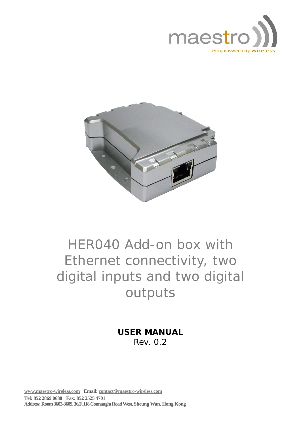



# HER040 Add-on box with Ethernet connectivity, two digital inputs and two digital outputs

## **USER MANUAL**  Rev. 0.2

**www.maestro-wireless.com Email: contact@maestro-wireless.com Tel: 852 2869 0688 Fax: 852 2525 4701 Address: Room 3603-3609, 36/F, 118 Connaught Road West, Sheung Wan, Hong Kong**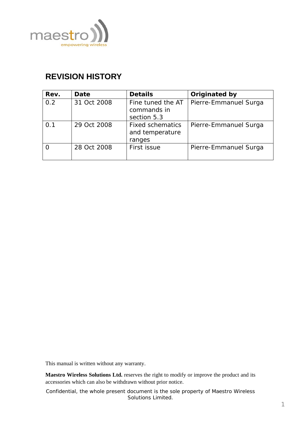

# <span id="page-1-0"></span>**REVISION HISTORY**

| Rev. | <b>Date</b> | <b>Details</b>          | Originated by         |
|------|-------------|-------------------------|-----------------------|
| 0.2  | 31 Oct 2008 | Fine tuned the AT       | Pierre-Emmanuel Surga |
|      |             | commands in             |                       |
|      |             | section 5.3             |                       |
| 0.1  | 29 Oct 2008 | <b>Fixed schematics</b> | Pierre-Emmanuel Surga |
|      |             | and temperature         |                       |
|      |             | ranges                  |                       |
|      | 28 Oct 2008 | First issue             | Pierre-Emmanuel Surga |
|      |             |                         |                       |

This manual is written without any warranty.

**Maestro Wireless Solutions Ltd.** reserves the right to modify or improve the product and its accessories which can also be withdrawn without prior notice.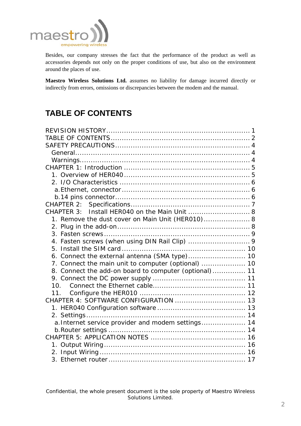

Besides, our company stresses the fact that the performance of the product as well as accessories depends not only on the proper conditions of use, but also on the environment around the places of use.

**Maestro Wireless Solutions Ltd.** assumes no liability for damage incurred directly or indirectly from errors, omissions or discrepancies between the modem and the manual.

# <span id="page-2-0"></span>**TABLE OF CONTENTS**

| CHAPTER 3: Install HER040 on the Main Unit  8         |  |
|-------------------------------------------------------|--|
| 1. Remove the dust cover on Main Unit (HER010) 8      |  |
|                                                       |  |
|                                                       |  |
| 4. Fasten screws (when using DIN Rail Clip)  9        |  |
|                                                       |  |
| 6. Connect the external antenna (SMA type) 10         |  |
| 7. Connect the main unit to computer (optional)  10   |  |
| 8. Connect the add-on board to computer (optional) 11 |  |
|                                                       |  |
| 10 <sub>1</sub>                                       |  |
|                                                       |  |
| CHAPTER 4: SOFTWARE CONFIGURATION  13                 |  |
|                                                       |  |
|                                                       |  |
| a. Internet service provider and modem settings 14    |  |
|                                                       |  |
|                                                       |  |
|                                                       |  |
|                                                       |  |
|                                                       |  |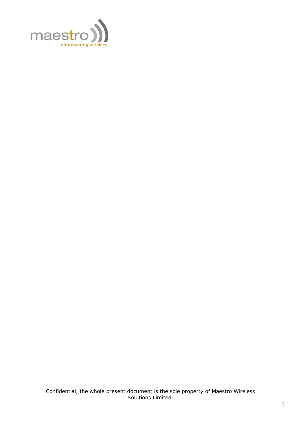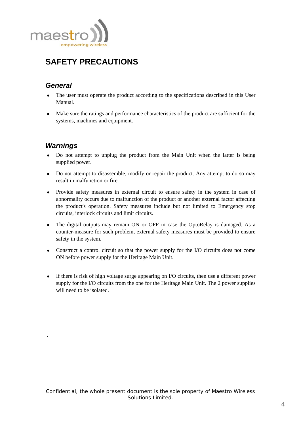

# <span id="page-4-0"></span>**SAFETY PRECAUTIONS**

## <span id="page-4-1"></span>*General*

- The user must operate the product according to the specifications described in this User Manual.
- Make sure the ratings and performance characteristics of the product are sufficient for the systems, machines and equipment.

## <span id="page-4-2"></span>*Warnings*

.

- Do not attempt to unplug the product from the Main Unit when the latter is being supplied power.
- Do not attempt to disassemble, modify or repair the product. Any attempt to do so may result in malfunction or fire.
- Provide safety measures in external circuit to ensure safety in the system in case of abnormality occurs due to malfunction of the product or another external factor affecting the product's operation. Safety measures include but not limited to Emergency stop circuits, interlock circuits and limit circuits.
- The digital outputs may remain ON or OFF in case the OptoRelay is damaged. As a counter-measure for such problem, external safety measures must be provided to ensure safety in the system.
- Construct a control circuit so that the power supply for the I/O circuits does not come ON before power supply for the Heritage Main Unit.
- If there is risk of high voltage surge appearing on I/O circuits, then use a different power supply for the I/O circuits from the one for the Heritage Main Unit. The 2 power supplies will need to be isolated.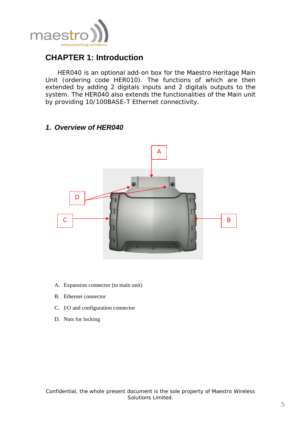

# <span id="page-5-0"></span>**CHAPTER 1: Introduction**

HER040 is an optional add-on box for the Maestro Heritage Main Unit (ordering code HER010). The functions of which are then extended by adding 2 digitals inputs and 2 digitals outputs to the system. The HER040 also extends the functionalities of the Main unit by providing 10/100BASE-T Ethernet connectivity.

#### <span id="page-5-1"></span>*1. Overview of HER040*



- A. Expansion connector (to main unit)
- B. Ethernet connector
- C. I/O and configuration connector
- D. Nuts for locking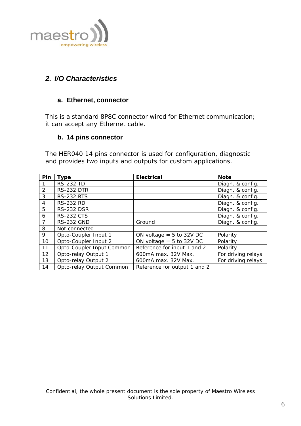

## <span id="page-6-0"></span>*2. I/O Characteristics*

#### **a. Ethernet, connector**

<span id="page-6-1"></span>This is a standard 8P8C connector wired for Ethernet communication; it can accept any Ethernet cable.

#### **b. 14 pins connector**

<span id="page-6-2"></span>The HER040 14 pins connector is used for configuration, diagnostic and provides two inputs and outputs for custom applications.

| Pin            | <b>Type</b>               | <b>Electrical</b>            | <b>Note</b>        |
|----------------|---------------------------|------------------------------|--------------------|
|                | <b>RS-232 TD</b>          |                              | Diagn. & config.   |
| $\overline{2}$ | <b>RS-232 DTR</b>         |                              | Diagn. & config.   |
| 3              | <b>RS-232 RTS</b>         |                              | Diagn. & config.   |
| 4              | <b>RS-232 RD</b>          |                              | Diagn. & config.   |
| 5              | <b>RS-232 DSR</b>         |                              | Diagn. & config.   |
| 6              | <b>RS-232 CTS</b>         |                              | Diagn. & config.   |
| 7              | <b>RS-232 GND</b>         | Ground                       | Diagn. & config.   |
| 8              | Not connected             |                              |                    |
| 9              | Opto-Coupler Input 1      | ON voltage $= 5$ to 32V DC   | Polarity           |
| 10             | Opto-Coupler Input 2      | ON voltage $= 5$ to 32V DC   | Polarity           |
| 11             | Opto-Coupler Input Common | Reference for input 1 and 2  | Polarity           |
| 12             | Opto-relay Output 1       | 600mA max. 32V Max.          | For driving relays |
| 13             | Opto-relay Output 2       | 600mA max. 32V Max.          | For driving relays |
| 14             | Opto-relay Output Common  | Reference for output 1 and 2 |                    |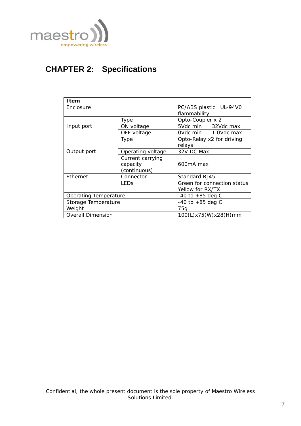

# <span id="page-7-0"></span>**CHAPTER 2: Specifications**

| <b>I</b> tem             |                   |                                        |  |
|--------------------------|-------------------|----------------------------------------|--|
| Enclosure                |                   | PC/ABS plastic UL-94V0<br>flammability |  |
|                          | Type              | Opto-Coupler x 2                       |  |
| Input port               | ON voltage        | 5Vdc min 32Vdc max                     |  |
|                          | OFF voltage       | OVdc min 1.0Vdc max                    |  |
|                          | Type              | Opto-Relay x2 for driving              |  |
|                          |                   | relays                                 |  |
| Output port              | Operating voltage | 32V DC Max                             |  |
|                          | Current carrying  |                                        |  |
|                          | capacity          | 600mA max                              |  |
|                          | (continuous)      |                                        |  |
| Ethernet                 | Connector         | Standard RJ45                          |  |
|                          | LEDS              | Green for connection status            |  |
|                          |                   | Yellow for RX/TX                       |  |
| Operating Temperature    |                   | $-40$ to $+85$ deg C                   |  |
| Storage Temperature      |                   | $-40$ to $+85$ deg C                   |  |
| Weight                   |                   | 75g                                    |  |
| <b>Overall Dimension</b> |                   | 100(L)x75(W)x28(H)mm                   |  |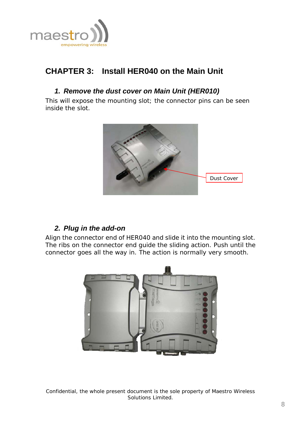

# <span id="page-8-0"></span>**CHAPTER 3: Install HER040 on the Main Unit**

#### *1. Remove the dust cover on Main Unit (HER010)*

<span id="page-8-1"></span>This will expose the mounting slot; the connector pins can be seen inside the slot.



## *2. Plug in the add-on*

<span id="page-8-2"></span>Align the connector end of HER040 and slide it into the mounting slot. The ribs on the connector end guide the sliding action. Push until the connector goes all the way in. The action is normally very smooth.

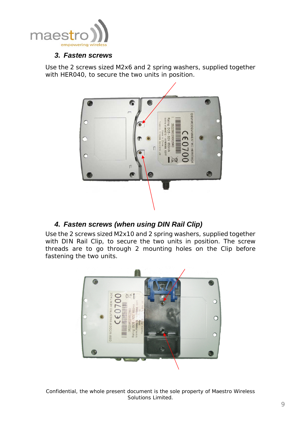

#### *3. Fasten screws*

<span id="page-9-0"></span>Use the 2 screws sized M2x6 and 2 spring washers, supplied together with HER040, to secure the two units in position.



## *4. Fasten screws (when using DIN Rail Clip)*

<span id="page-9-1"></span>Use the 2 screws sized M2x10 and 2 spring washers, supplied together with DIN Rail Clip, to secure the two units in position. The screw threads are to go through 2 mounting holes on the Clip before fastening the two units.

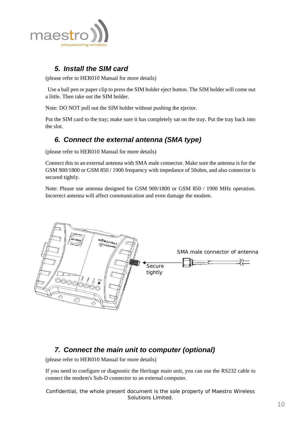

## *5. Install the SIM card*

<span id="page-10-0"></span>(please refer to HER010 Manual for more details)

 Use a ball pen or paper clip to press the SIM holder eject button. The SIM holder will come out a little. Then take out the SIM holder.

Note: DO NOT pull out the SIM holder without pushing the ejector.

Put the SIM card to the tray; make sure it has completely sat on the tray. Put the tray back into the slot.

#### *6. Connect the external antenna (SMA type)*

<span id="page-10-1"></span>(please refer to HER010 Manual for more details)

Connect this to an external antenna with SMA male connector. Make sure the antenna is for the GSM 900/1800 or GSM 850 / 1900 frequency with impedance of 50ohm, and also connector is secured tightly.

Note: Please use antenna designed for GSM 900/1800 or GSM 850 / 1900 MHz operation. Incorrect antenna will affect communication and even damage the modem.



#### *7. Connect the main unit to computer (optional)*

<span id="page-10-2"></span>(please refer to HER010 Manual for more details)

If you need to configure or diagnostic the Heritage main unit, you can use the RS232 cable to connect the modem's Sub-D connector to an external computer.

Solutions Limited. Confidential, the whole present document is the sole property of Maestro Wireless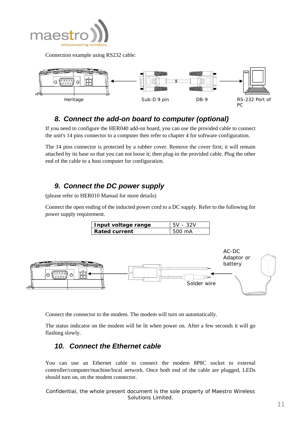

Connection example using RS232 cable:



## *8. Connect the add-on board to computer (optional)*

<span id="page-11-0"></span>If you need to configure the HER040 add-on board, you can use the provided cable to connect the unit's 14 pins connector to a computer then refer to chapter 4 for software configuration.

The 14 pins connector is protected by a rubber cover. Remove the cover first; it will remain attached by its base so that you can not loose it; then plug-in the provided cable. Plug the other end of the cable to a host computer for configuration.

## *9. Connect the DC power supply*

<span id="page-11-1"></span>(please refer to HER010 Manual for more details)

Connect the open ending of the inducted power cord to a DC supply. Refer to the following for power supply requirement.

| Input voltage range | $5V - 32V$ |
|---------------------|------------|
| Rated current       | 500 mA     |



Connect the connector to the modem. The modem will turn on automatically.

The status indicator on the modem will be lit when power on. After a few seconds it will go flashing slowly.

## *10. Connect the Ethernet cable*

<span id="page-11-2"></span>You can use an Ethernet cable to connect the modem 8P8C socket to external controller/computer/machine/local network. Once both end of the cable are plugged, LEDs should turn on, on the modem connector.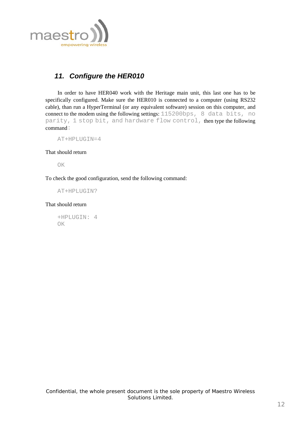

## *11. Configure the HER010*

<span id="page-12-0"></span>In order to have HER040 work with the Heritage main unit, this last one has to be specifically configured. Make sure the HER010 is connected to a computer (using RS232 cable), than run a HyperTerminal (or any equivalent software) session on this computer, and connect to the modem using the following settings: 115200bps, 8 data bits, no parity, 1 stop bit, and hardware flow control, then type the following command:

AT+HPLUGIN=4

That should return

OK

To check the good configuration, send the following command:

AT+HPLUGIN?

That should return

 +HPLUGIN: 4 OK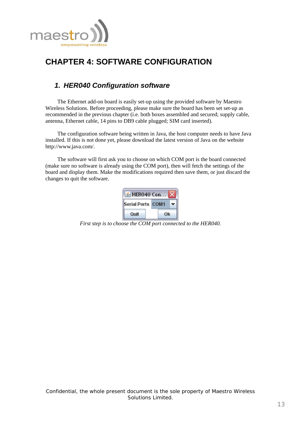

# <span id="page-13-0"></span>**CHAPTER 4: SOFTWARE CONFIGURATION**

#### *1. HER040 Configuration software*

<span id="page-13-1"></span>The Ethernet add-on board is easily set-up using the provided software by Maestro Wireless Solutions. Before proceeding, please make sure the board has been set set-up as recommended in the previous chapter (i.e. both boxes assembled and secured; supply cable, antenna, Ethernet cable, 14 pins to DB9 cable plugged; SIM card inserted).

 The configuration software being written in Java, the host computer needs to have Java installed. If this is not done yet, please download the latest version of Java on the website http://www.java.com/.

 The software will first ask you to choose on which COM port is the board connected (make sure no software is already using the COM port), then will fetch the settings of the board and display them. Make the modifications required then save them, or just discard the changes to quit the software.



*First step is to choose the COM port connected to the HER040.*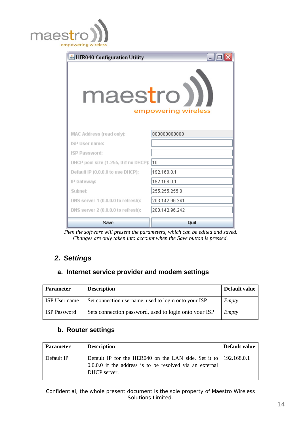

| HER040 Configuration Utility              |                |  |  |  |
|-------------------------------------------|----------------|--|--|--|
| maestro ))<br>empowering wireless         |                |  |  |  |
| MAC Address (read only):                  | 000000000000   |  |  |  |
| ISP User name:                            |                |  |  |  |
| ISP Password:                             |                |  |  |  |
| DHCP pool size (1-255, 0 if no DHCP):  10 |                |  |  |  |
| Default IP (0.0.0.0 to use DHCP):         | 192.168.0.1    |  |  |  |
| IP Gateway:                               | 192.168.0.1    |  |  |  |
| Subnet:                                   | 255.255.255.0  |  |  |  |
| DNS server 1 (0.0.0.0 to refresh):        | 203.142.96.241 |  |  |  |
| DNS server 2 (0.0.0.0 to refresh):        | 203.142.96.242 |  |  |  |
| Save                                      | Quit           |  |  |  |

*Then the software will present the parameters, which can be edited and saved. Changes are only taken into account when the Save button is pressed.* 

## *2. Settings*

#### **a. Internet service provider and modem settings**

<span id="page-14-1"></span><span id="page-14-0"></span>

| <b>Parameter</b>    | <b>Description</b>                                    | Default value |
|---------------------|-------------------------------------------------------|---------------|
| ISP User name       | Set connection username, used to login onto your ISP  | Empty         |
| <b>ISP</b> Password | Sets connection password, used to login onto your ISP | Empty         |

#### **b. Router settings**

<span id="page-14-2"></span>

| <b>Parameter</b> | <b>Description</b>                                                                                                                             | Default value |
|------------------|------------------------------------------------------------------------------------------------------------------------------------------------|---------------|
| Default IP       | Default IP for the HER040 on the LAN side. Set it to   192.168.0.1<br>$0.0.0$ of the address is to be resolved via an external<br>DHCP server. |               |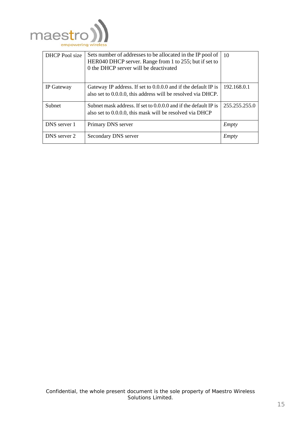

| <b>DHCP</b> Pool size | Sets number of addresses to be allocated in the IP pool of<br>HER040 DHCP server. Range from 1 to 255; but if set to<br>0 the DHCP server will be deactivated | <b>10</b>     |
|-----------------------|---------------------------------------------------------------------------------------------------------------------------------------------------------------|---------------|
| IP Gateway            | Gateway IP address. If set to 0.0.0.0 and if the default IP is<br>also set to 0.0.0.0, this address will be resolved via DHCP.                                | 192.168.0.1   |
| Subnet                | Subnet mask address. If set to 0.0.0.0 and if the default IP is<br>also set to 0.0.0.0, this mask will be resolved via DHCP                                   | 255.255.255.0 |
| DNS server 1          | Primary DNS server                                                                                                                                            | Empty         |
| DNS server 2          | Secondary DNS server                                                                                                                                          | Empty         |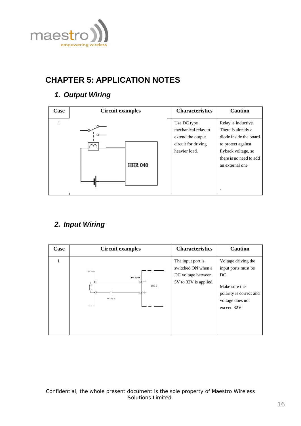

# <span id="page-16-1"></span><span id="page-16-0"></span>**CHAPTER 5: APPLICATION NOTES**

# *1. Output Wiring*

| Case | <b>Circuit examples</b> | <b>Characteristics</b>                                                                          | <b>Caution</b>                                                                                                                                                 |
|------|-------------------------|-------------------------------------------------------------------------------------------------|----------------------------------------------------------------------------------------------------------------------------------------------------------------|
|      | <b>HER 040</b>          | Use DC type<br>mechanical relay to<br>extend the output<br>circuit for driving<br>heavier load. | Relay is inductive.<br>There is already a<br>diode inside the board<br>to protect against<br>flyback voltage, so<br>there is no need to add<br>an external one |

## *2. Input Wiring*

<span id="page-16-2"></span>

| Case | <b>Circuit examples</b>                            | <b>Characteristics</b>                                                                 | <b>Caution</b>                                                                                                                   |
|------|----------------------------------------------------|----------------------------------------------------------------------------------------|----------------------------------------------------------------------------------------------------------------------------------|
| 1    | input port<br><b>HEROYO</b><br>n<br>$+$<br>DC 24 V | The input port is<br>switched ON when a<br>DC voltage between<br>5V to 32V is applied. | Voltage driving the<br>input ports must be<br>DC.<br>Make sure the<br>polarity is correct and<br>voltage does not<br>exceed 32V. |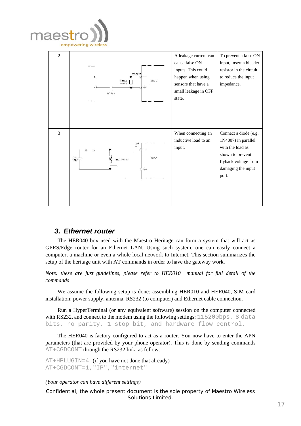



#### *3. Ethernet router*

<span id="page-17-0"></span>The HER040 box used with the Maestro Heritage can form a system that will act as GPRS/Edge router for an Ethernet LAN. Using such system, one can easily connect a computer, a machine or even a whole local network to Internet. This section summarizes the setup of the heritage unit with AT commands in order to have the gateway work.

*Note: these are just guidelines, please refer to HER010 manual for full detail of the commands* 

We assume the following setup is done: assembling HER010 and HER040, SIM card installation; power supply, antenna, RS232 (to computer) and Ethernet cable connection.

Run a HyperTerminal (or any equivalent software) session on the computer connected with RS232, and connect to the modem using the following settings: 115200bps, 8 data bits, no parity, 1 stop bit, and hardware flow control.

The HER040 is factory configured to act as a router. You now have to enter the APN parameters (that are provided by your phone operator). This is done by sending commands AT+CGDCONT through the RS232 link, as follow:

 $AT+HPLUGIN=4$  (if you have not done that already) AT+CGDCONT=1,"IP","internet"

*(Your operator can have different settings)*